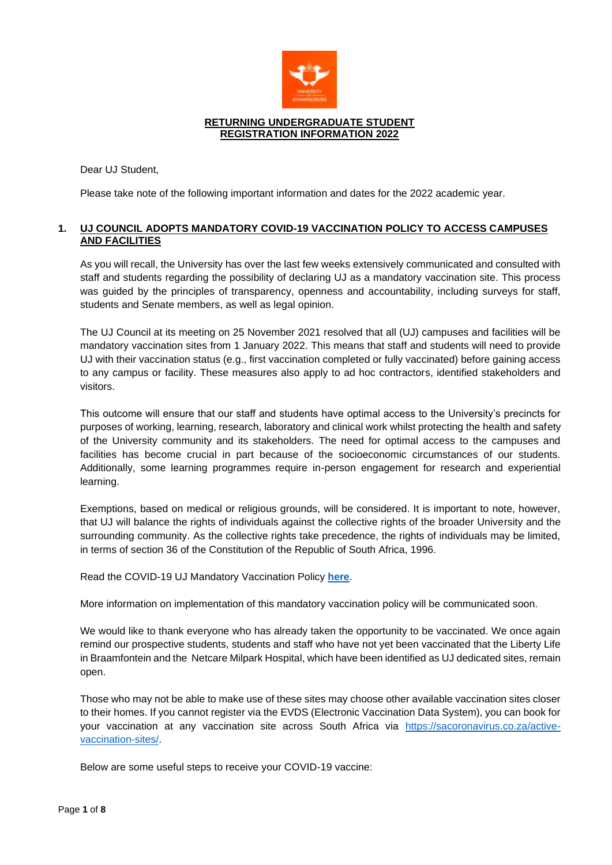

### **RETURNING UNDERGRADUATE STUDENT REGISTRATION INFORMATION 2022**

Dear UJ Student,

Please take note of the following important information and dates for the 2022 academic year.

# **1. UJ COUNCIL ADOPTS MANDATORY COVID-19 VACCINATION POLICY TO ACCESS CAMPUSES AND FACILITIES**

As you will recall, the University has over the last few weeks extensively communicated and consulted with staff and students regarding the possibility of declaring UJ as a mandatory vaccination site. This process was guided by the principles of transparency, openness and accountability, including surveys for staff, students and Senate members, as well as legal opinion.

The UJ Council at its meeting on 25 November 2021 resolved that all (UJ) campuses and facilities will be mandatory vaccination sites from 1 January 2022. This means that staff and students will need to provide UJ with their vaccination status (e.g., first vaccination completed or fully vaccinated) before gaining access to any campus or facility. These measures also apply to ad hoc contractors, identified stakeholders and visitors.

This outcome will ensure that our staff and students have optimal access to the University's precincts for purposes of working, learning, research, laboratory and clinical work whilst protecting the health and safety of the University community and its stakeholders. The need for optimal access to the campuses and facilities has become crucial in part because of the socioeconomic circumstances of our students. Additionally, some learning programmes require in-person engagement for research and experiential learning.

Exemptions, based on medical or religious grounds, will be considered. It is important to note, however, that UJ will balance the rights of individuals against the collective rights of the broader University and the surrounding community. As the collective rights take precedence, the rights of individuals may be limited, in terms of section 36 of the Constitution of the Republic of South Africa, 1996.

Read the COVID-19 UJ Mandatory Vaccination Policy **[here](https://www.uj.ac.za/wp-content/uploads/2021/12/covid-19-mandatory-vaccination-policy-19-nov2021.pdf)**.

More information on implementation of this mandatory vaccination policy will be communicated soon.

We would like to thank everyone who has already taken the opportunity to be vaccinated. We once again remind our prospective students, students and staff who have not yet been vaccinated that the Liberty Life in Braamfontein and the Netcare Milpark Hospital, which have been identified as UJ dedicated sites, remain open.

Those who may not be able to make use of these sites may choose other available vaccination sites closer to their homes. If you cannot register via the EVDS (Electronic Vaccination Data System), you can book for your vaccination at any vaccination site across South Africa via [https://sacoronavirus.co.za/active](https://sacoronavirus.co.za/active-vaccination-sites/)[vaccination-sites/.](https://sacoronavirus.co.za/active-vaccination-sites/)

Below are some useful steps to receive your COVID-19 vaccine: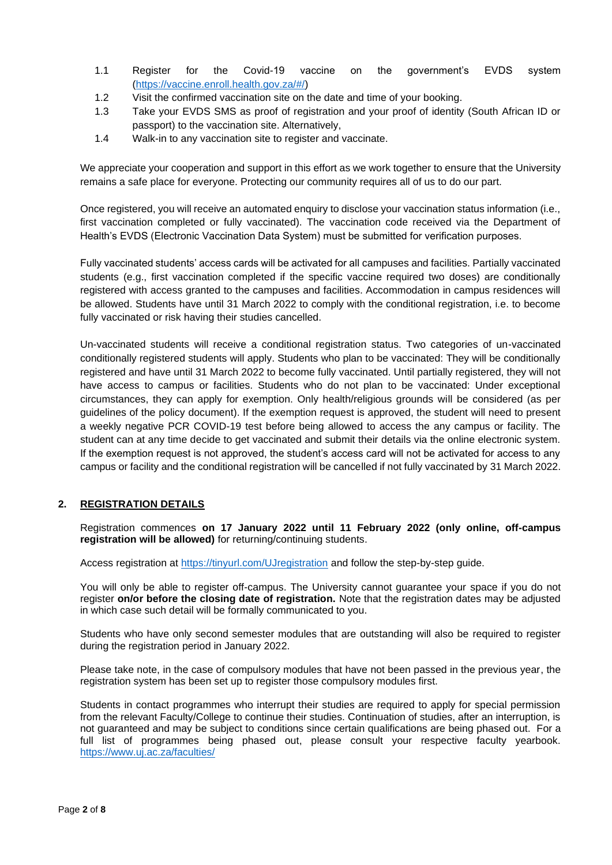- 1.1 Register for the Covid-19 vaccine on the government's EVDS system [\(https://vaccine.enroll.health.gov.za/#/\)](https://vaccine.enroll.health.gov.za/#/)
- 1.2 Visit the confirmed vaccination site on the date and time of your booking.
- 1.3 Take your EVDS SMS as proof of registration and your proof of identity (South African ID or passport) to the vaccination site. Alternatively,
- 1.4 Walk-in to any vaccination site to register and vaccinate.

We appreciate your cooperation and support in this effort as we work together to ensure that the University remains a safe place for everyone. Protecting our community requires all of us to do our part.

Once registered, you will receive an automated enquiry to disclose your vaccination status information (i.e., first vaccination completed or fully vaccinated). The vaccination code received via the Department of Health's EVDS (Electronic Vaccination Data System) must be submitted for verification purposes.

Fully vaccinated students' access cards will be activated for all campuses and facilities. Partially vaccinated students (e.g., first vaccination completed if the specific vaccine required two doses) are conditionally registered with access granted to the campuses and facilities. Accommodation in campus residences will be allowed. Students have until 31 March 2022 to comply with the conditional registration, i.e. to become fully vaccinated or risk having their studies cancelled.

Un-vaccinated students will receive a conditional registration status. Two categories of un-vaccinated conditionally registered students will apply. Students who plan to be vaccinated: They will be conditionally registered and have until 31 March 2022 to become fully vaccinated. Until partially registered, they will not have access to campus or facilities. Students who do not plan to be vaccinated: Under exceptional circumstances, they can apply for exemption. Only health/religious grounds will be considered (as per guidelines of the policy document). If the exemption request is approved, the student will need to present a weekly negative PCR COVID-19 test before being allowed to access the any campus or facility. The student can at any time decide to get vaccinated and submit their details via the online electronic system. If the exemption request is not approved, the student's access card will not be activated for access to any campus or facility and the conditional registration will be cancelled if not fully vaccinated by 31 March 2022.

# **2. REGISTRATION DETAILS**

Registration commences **on 17 January 2022 until 11 February 2022 (only online, off-campus registration will be allowed)** for returning/continuing students.

Access registration at<https://tinyurl.com/UJregistration> and follow the step-by-step guide.

You will only be able to register off-campus. The University cannot guarantee your space if you do not register **on/or before the closing date of registration.** Note that the registration dates may be adjusted in which case such detail will be formally communicated to you.

Students who have only second semester modules that are outstanding will also be required to register during the registration period in January 2022.

Please take note, in the case of compulsory modules that have not been passed in the previous year, the registration system has been set up to register those compulsory modules first.

Students in contact programmes who interrupt their studies are required to apply for special permission from the relevant Faculty/College to continue their studies. Continuation of studies, after an interruption, is not guaranteed and may be subject to conditions since certain qualifications are being phased out. For a full list of programmes being phased out, please consult your respective faculty yearbook. <https://www.uj.ac.za/faculties/>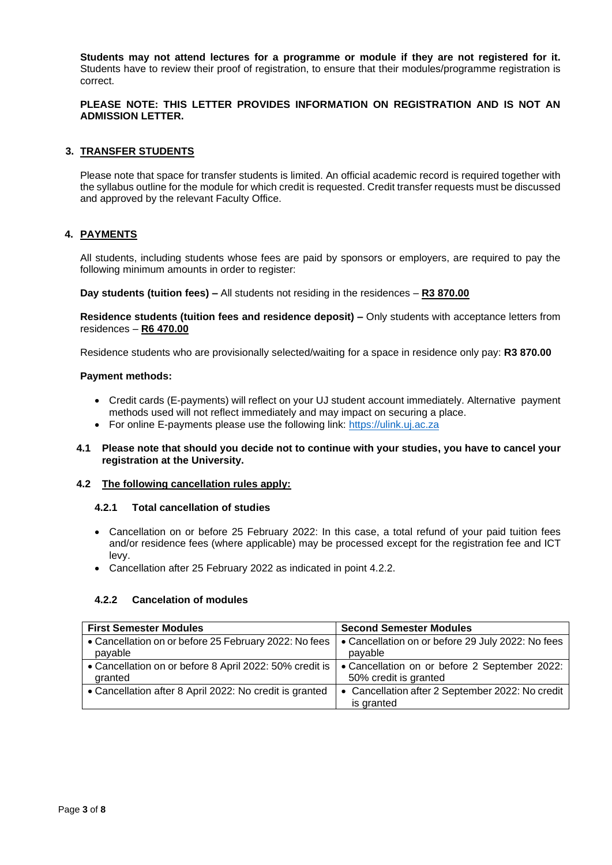**Students may not attend lectures for a programme or module if they are not registered for it.** Students have to review their proof of registration, to ensure that their modules/programme registration is correct.

# **PLEASE NOTE: THIS LETTER PROVIDES INFORMATION ON REGISTRATION AND IS NOT AN ADMISSION LETTER.**

### **3. TRANSFER STUDENTS**

Please note that space for transfer students is limited. An official academic record is required together with the syllabus outline for the module for which credit is requested. Credit transfer requests must be discussed and approved by the relevant Faculty Office.

### **4. PAYMENTS**

All students, including students whose fees are paid by sponsors or employers, are required to pay the following minimum amounts in order to register:

**Day students (tuition fees) –** All students not residing in the residences – **R3 870.00**

**Residence students (tuition fees and residence deposit) –** Only students with acceptance letters from residences – **R6 470.00**

Residence students who are provisionally selected/waiting for a space in residence only pay: **R3 870.00**

### **Payment methods:**

- Credit cards (E-payments) will reflect on your UJ student account immediately. Alternative payment methods used will not reflect immediately and may impact on securing a place.
- For online E-payments please use the following link: [https://ulink.uj.ac.za](https://ulink.uj.ac.za/)
- **4.1 Please note that should you decide not to continue with your studies, you have to cancel your registration at the University.**

#### **4.2 The following cancellation rules apply:**

#### **4.2.1 Total cancellation of studies**

- Cancellation on or before 25 February 2022: In this case, a total refund of your paid tuition fees and/or residence fees (where applicable) may be processed except for the registration fee and ICT levy.
- Cancellation after 25 February 2022 as indicated in point 4.2.2.

#### **4.2.2 Cancelation of modules**

| <b>First Semester Modules</b>                           | <b>Second Semester Modules</b>                                 |
|---------------------------------------------------------|----------------------------------------------------------------|
| • Cancellation on or before 25 February 2022: No fees   | • Cancellation on or before 29 July 2022: No fees              |
| payable                                                 | payable                                                        |
| • Cancellation on or before 8 April 2022: 50% credit is | • Cancellation on or before 2 September 2022:                  |
| granted                                                 | 50% credit is granted                                          |
| • Cancellation after 8 April 2022: No credit is granted | • Cancellation after 2 September 2022: No credit<br>is granted |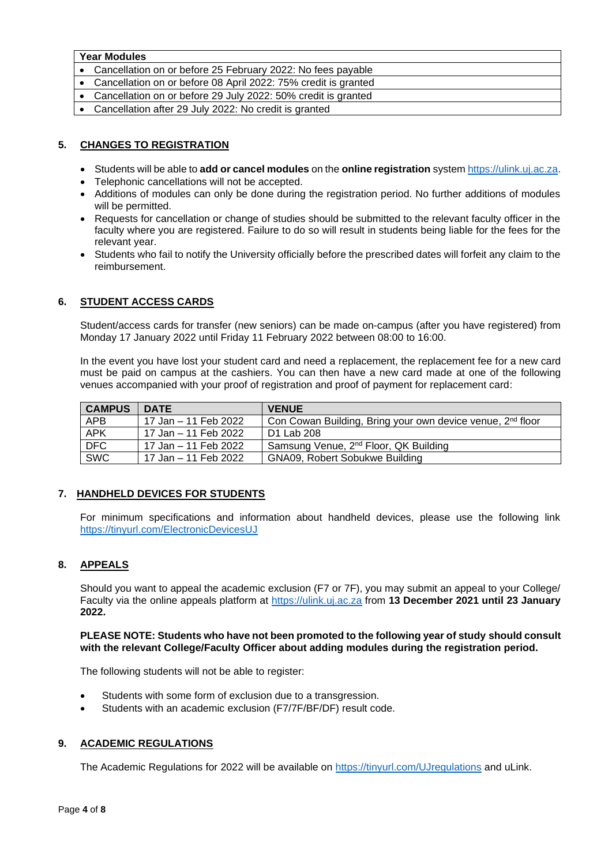### **Year Modules**

- Cancellation on or before 25 February 2022: No fees payable
- Cancellation on or before 08 April 2022: 75% credit is granted
- Cancellation on or before 29 July 2022: 50% credit is granted
- Cancellation after 29 July 2022: No credit is granted

# **5. CHANGES TO REGISTRATION**

- Students will be able to **add or cancel modules** on the **online registration** system [https://ulink.uj.ac.za.](https://ulink.uj.ac.za/)
- Telephonic cancellations will not be accepted.
- Additions of modules can only be done during the registration period. No further additions of modules will be permitted.
- Requests for cancellation or change of studies should be submitted to the relevant faculty officer in the faculty where you are registered. Failure to do so will result in students being liable for the fees for the relevant year.
- Students who fail to notify the University officially before the prescribed dates will forfeit any claim to the reimbursement.

# **6. STUDENT ACCESS CARDS**

Student/access cards for transfer (new seniors) can be made on-campus (after you have registered) from Monday 17 January 2022 until Friday 11 February 2022 between 08:00 to 16:00.

In the event you have lost your student card and need a replacement, the replacement fee for a new card must be paid on campus at the cashiers. You can then have a new card made at one of the following venues accompanied with your proof of registration and proof of payment for replacement card:

| <b>CAMPUS</b> | <b>DATE</b>          | <b>VENUE</b>                                                           |
|---------------|----------------------|------------------------------------------------------------------------|
| <b>APB</b>    | 17 Jan – 11 Feb 2022 | Con Cowan Building, Bring your own device venue, 2 <sup>nd</sup> floor |
| <b>APK</b>    | 17 Jan – 11 Feb 2022 | D1 Lab 208                                                             |
| DFC           | 17 Jan – 11 Feb 2022 | Samsung Venue, 2 <sup>nd</sup> Floor, QK Building                      |
| <b>SWC</b>    | 17 Jan – 11 Feb 2022 | GNA09, Robert Sobukwe Building                                         |

# **7. HANDHELD DEVICES FOR STUDENTS**

For minimum specifications and information about handheld devices, please use the following link <https://tinyurl.com/ElectronicDevicesUJ>

# **8. APPEALS**

Should you want to appeal the academic exclusion (F7 or 7F), you may submit an appeal to your College/ Faculty via the online appeals platform at [https://ulink.uj.ac.za](https://ulink.uj.ac.za/) from **13 December 2021 until 23 January 2022.**

### **PLEASE NOTE: Students who have not been promoted to the following year of study should consult with the relevant College/Faculty Officer about adding modules during the registration period.**

The following students will not be able to register:

- Students with some form of exclusion due to a transgression.
- Students with an academic exclusion (F7/7F/BF/DF) result code.

# **9. ACADEMIC REGULATIONS**

The Academic Regulations for 2022 will be available on<https://tinyurl.com/UJregulations> and uLink.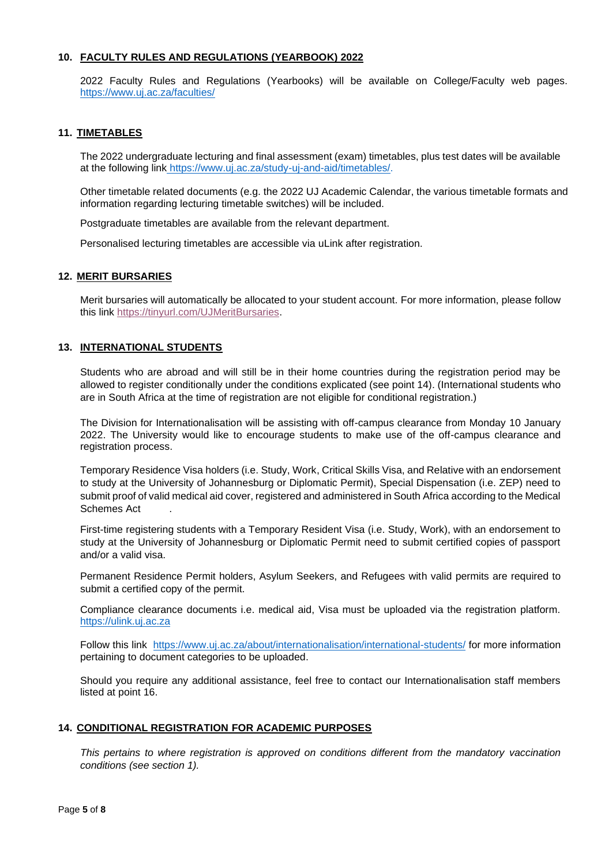### **10. FACULTY RULES AND REGULATIONS (YEARBOOK) 2022**

2022 Faculty Rules and Regulations (Yearbooks) will be available on College/Faculty web pages. <https://www.uj.ac.za/faculties/>

### **11. TIMETABLES**

The 2022 undergraduate lecturing and final assessment (exam) timetables, plus test dates will be available at the following link [https://www.uj.ac.za/study-uj-and-aid/timetables/.](https://www.uj.ac.za/study-uj-and-aid/timetables/)

Other timetable related documents (e.g. the 2022 UJ Academic Calendar, the various timetable formats and information regarding lecturing timetable switches) will be included.

Postgraduate timetables are available from the relevant department.

Personalised lecturing timetables are accessible via uLink after registration.

#### **12. MERIT BURSARIES**

Merit bursaries will automatically be allocated to your student account. For more information, please follow this link [https://tinyurl.com/UJMeritBursaries.](https://tinyurl.com/UJMeritBursaries)

# **13. INTERNATIONAL STUDENTS**

Students who are abroad and will still be in their home countries during the registration period may be allowed to register conditionally under the conditions explicated (see point 14). (International students who are in South Africa at the time of registration are not eligible for conditional registration.)

The Division for Internationalisation will be assisting with off-campus clearance from Monday 10 January 2022. The University would like to encourage students to make use of the off-campus clearance and registration process.

Temporary Residence Visa holders (i.e. Study, Work, Critical Skills Visa, and Relative with an endorsement to study at the University of Johannesburg or Diplomatic Permit), Special Dispensation (i.e. ZEP) need to submit proof of valid medical aid cover, registered and administered in South Africa according to the Medical Schemes Act .

First-time registering students with a Temporary Resident Visa (i.e. Study, Work), with an endorsement to study at the University of Johannesburg or Diplomatic Permit need to submit certified copies of passport and/or a valid visa.

Permanent Residence Permit holders, Asylum Seekers, and Refugees with valid permits are required to submit a certified copy of the permit.

Compliance clearance documents i.e. medical aid, Visa must be uploaded via the registration platform. [https://ulink.uj.ac.za](https://ulink.uj.ac.za/)

Follow this link <https://www.uj.ac.za/about/internationalisation/international-students/> for more information pertaining to document categories to be uploaded.

Should you require any additional assistance, feel free to contact our Internationalisation staff members listed at point 16.

#### **14. CONDITIONAL REGISTRATION FOR ACADEMIC PURPOSES**

*This pertains to where registration is approved on conditions different from the mandatory vaccination conditions (see section 1).*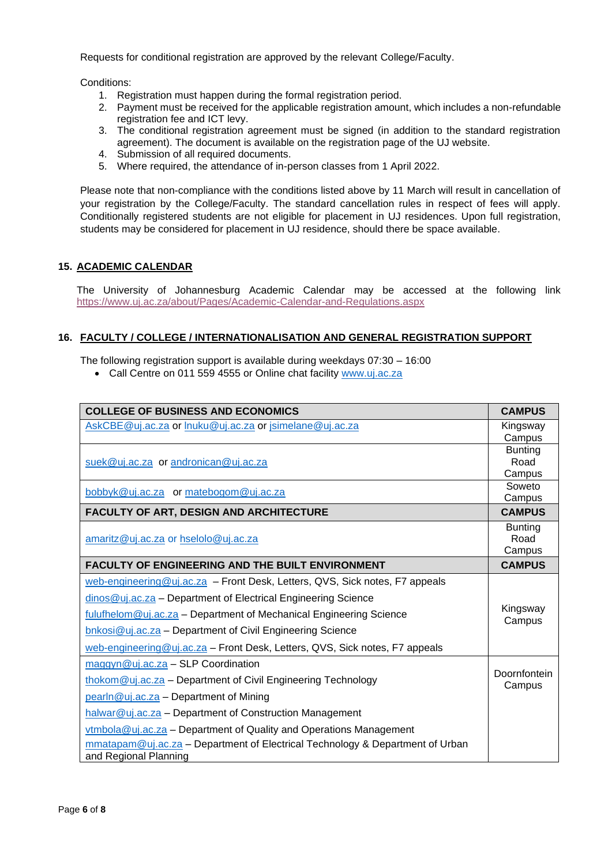Requests for conditional registration are approved by the relevant College/Faculty.

Conditions:

- 1. Registration must happen during the formal registration period.
- 2. Payment must be received for the applicable registration amount, which includes a non-refundable registration fee and ICT levy.
- 3. The conditional registration agreement must be signed (in addition to the standard registration agreement). The document is available on the registration page of the UJ website.
- 4. Submission of all required documents.
- 5. Where required, the attendance of in-person classes from 1 April 2022.

Please note that non-compliance with the conditions listed above by 11 March will result in cancellation of your registration by the College/Faculty. The standard cancellation rules in respect of fees will apply. Conditionally registered students are not eligible for placement in UJ residences. Upon full registration, students may be considered for placement in UJ residence, should there be space available.

# **15. ACADEMIC CALENDAR**

The University of Johannesburg Academic Calendar may be accessed at the following link <https://www.uj.ac.za/about/Pages/Academic-Calendar-and-Regulations.aspx>

# **16. FACULTY / COLLEGE / INTERNATIONALISATION AND GENERAL REGISTRATION SUPPORT**

The following registration support is available during weekdays 07:30 – 16:00

• Call Centre on 011 559 4555 or Online chat facility [www.uj.ac.za](http://www.uj.ac.za/)

| <b>COLLEGE OF BUSINESS AND ECONOMICS</b>                                      |                          |
|-------------------------------------------------------------------------------|--------------------------|
| AskCBE@uj.ac.za or lnuku@uj.ac.za or jsimelane@uj.ac.za                       |                          |
|                                                                               | Campus<br><b>Bunting</b> |
|                                                                               |                          |
| suek@uj.ac.za or andronican@uj.ac.za                                          | Road<br>Campus           |
|                                                                               | Soweto                   |
| bobbyk@uj.ac.za or matebogom@uj.ac.za                                         | Campus                   |
| <b>FACULTY OF ART, DESIGN AND ARCHITECTURE</b>                                | <b>CAMPUS</b>            |
| amaritz@uj.ac.za or hselolo@uj.ac.za                                          |                          |
|                                                                               |                          |
| <b>FACULTY OF ENGINEERING AND THE BUILT ENVIRONMENT</b>                       | <b>CAMPUS</b>            |
| web-engineering@uj.ac.za - Front Desk, Letters, QVS, Sick notes, F7 appeals   |                          |
| dinos@uj.ac.za - Department of Electrical Engineering Science                 | Kingsway                 |
| fulufhelom@uj.ac.za - Department of Mechanical Engineering Science            |                          |
| bnkosi@uj.ac.za - Department of Civil Engineering Science                     | Campus                   |
| web-engineering@uj.ac.za - Front Desk, Letters, QVS, Sick notes, F7 appeals   |                          |
| $maggyn@uj.ac.za - SLP Coordination$                                          |                          |
| thokom@uj.ac.za - Department of Civil Engineering Technology                  | Doornfontein<br>Campus   |
| pearln@uj.ac.za - Department of Mining                                        |                          |
| halwar@uj.ac.za - Department of Construction Management                       |                          |
| $v$ tmbola@uj.ac.za – Department of Quality and Operations Management         |                          |
| mmatapam@uj.ac.za - Department of Electrical Technology & Department of Urban |                          |
| and Regional Planning                                                         |                          |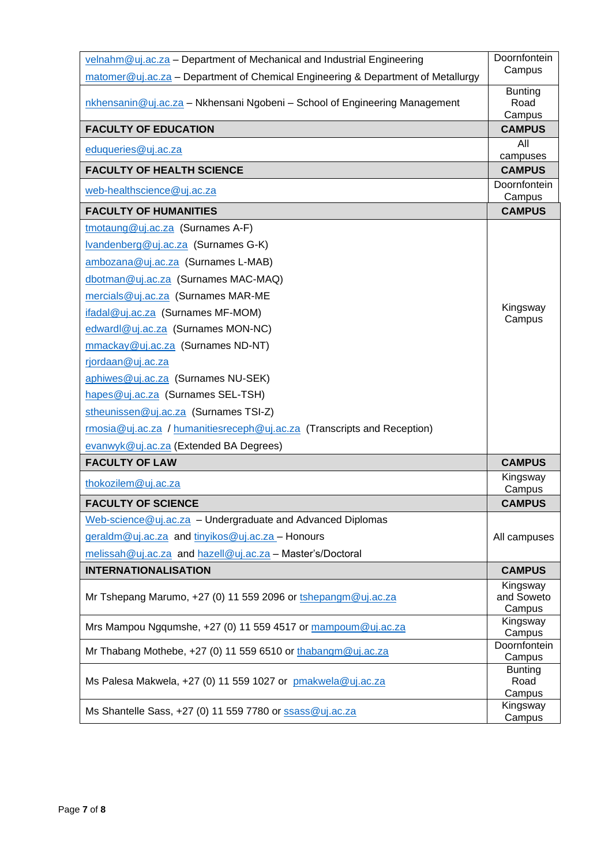| velnahm@uj.ac.za - Department of Mechanical and Industrial Engineering           | Doornfontein                     |
|----------------------------------------------------------------------------------|----------------------------------|
| matomer@uj.ac.za - Department of Chemical Engineering & Department of Metallurgy | Campus                           |
| nkhensanin@uj.ac.za - Nkhensani Ngobeni - School of Engineering Management       | <b>Bunting</b><br>Road<br>Campus |
| <b>FACULTY OF EDUCATION</b>                                                      | <b>CAMPUS</b>                    |
| eduqueries@uj.ac.za                                                              | All                              |
|                                                                                  | campuses                         |
| <b>FACULTY OF HEALTH SCIENCE</b>                                                 | <b>CAMPUS</b><br>Doornfontein    |
| web-healthscience@uj.ac.za                                                       | Campus                           |
| <b>FACULTY OF HUMANITIES</b>                                                     | <b>CAMPUS</b>                    |
| tmotaung@uj.ac.za (Surnames A-F)                                                 |                                  |
| Ivandenberg@uj.ac.za (Surnames G-K)                                              |                                  |
| ambozana@uj.ac.za (Surnames L-MAB)                                               |                                  |
| dbotman@uj.ac.za (Surnames MAC-MAQ)                                              |                                  |
| mercials@uj.ac.za (Surnames MAR-ME                                               |                                  |
| ifadal@uj.ac.za (Surnames MF-MOM)                                                | Kingsway                         |
| edwardl@uj.ac.za (Surnames MON-NC)                                               | Campus                           |
| mmackay@uj.ac.za (Surnames ND-NT)                                                |                                  |
| rjordaan@uj.ac.za                                                                |                                  |
| aphiwes@uj.ac.za (Surnames NU-SEK)                                               |                                  |
| hapes@uj.ac.za (Surnames SEL-TSH)                                                |                                  |
| stheunissen@uj.ac.za (Surnames TSI-Z)                                            |                                  |
|                                                                                  |                                  |
| rmosia@uj.ac.za / humanitiesreceph@uj.ac.za (Transcripts and Reception)          |                                  |
| evanwyk@uj.ac.za (Extended BA Degrees)                                           |                                  |
| <b>FACULTY OF LAW</b>                                                            | <b>CAMPUS</b>                    |
| thokozilem@uj.ac.za                                                              | Kingsway<br>Campus               |
| <b>FACULTY OF SCIENCE</b>                                                        | <b>CAMPUS</b>                    |
| Web-science@uj.ac.za - Undergraduate and Advanced Diplomas                       |                                  |
| geraldm@uj.ac.za and tinyikos@uj.ac.za - Honours                                 | All campuses                     |
| melissah@uj.ac.za and hazell@uj.ac.za - Master's/Doctoral                        |                                  |
| <b>INTERNATIONALISATION</b>                                                      | <b>CAMPUS</b>                    |
|                                                                                  | Kingsway                         |
| Mr Tshepang Marumo, +27 (0) 11 559 2096 or tshepangm@uj.ac.za                    | and Soweto                       |
|                                                                                  | Campus<br>Kingsway               |
| Mrs Mampou Ngqumshe, +27 (0) 11 559 4517 or mampoum@uj.ac.za                     | Campus                           |
| Mr Thabang Mothebe, +27 (0) 11 559 6510 or thabangm@uj.ac.za                     | Doornfontein<br>Campus           |
|                                                                                  | <b>Bunting</b>                   |
| Ms Palesa Makwela, +27 (0) 11 559 1027 or pmakwela@uj.ac.za                      | Road                             |
|                                                                                  | Campus<br>Kingsway               |
| Ms Shantelle Sass, +27 (0) 11 559 7780 or ssass@uj.ac.za                         | Campus                           |